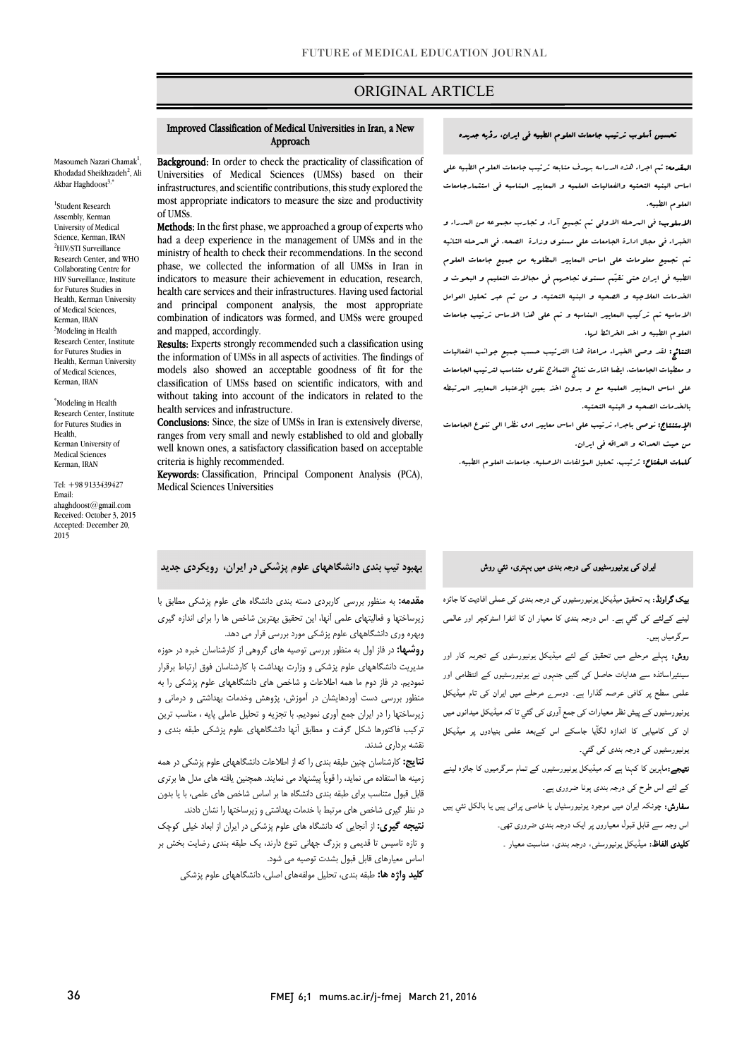# ORIGINAL ARTICLE

#### Improved Classification of Medical Universities in Iran, a New Approach

Ī

Masoumeh Nazari Chamak<sup>1</sup>, Khodadad Sheikhzadeh<sup>2</sup>, Ali Akbar Haghdoost $3$ ,\*

1 Student Research Assembly, Kerman University of Medical Science, Kerman, IRAN 2 HIV/STI Surveillance Research Center, and WHO Collaborating Centre for HIV Surveillance, Institute for Futures Studies in Health, Kerman University of Medical Sciences, Kerman, IRAN <sup>3</sup>Modeling in Health Research Center, Institute for Futures Studies in Health, Kerman University of Medical Sciences, Kerman, IRAN

\* Modeling in Health Research Center, Institute for Futures Studies in Health, Kerman University of Medical Sciences Kerman, IRAN

Tel: +98 9133439427 Email: ahaghdoost@gmail.com Received: October 3, 2015 Accepted: December 20, 2015

**Background:** In order to check the practicality of classification of Universities of Medical Sciences (UMSs) based on their infrastructures, and scientific contributions, this study explored the most appropriate indicators to measure the size and productivity of UMSs.

Methods: In the first phase, we approached a group of experts who had a deep experience in the management of UMSs and in the phase, we collected the information of all UMSs in Iran in indicators to measure their achievement in education, research, health care services and their infrastructures. Having used factorial combination of indicators was formed, and UMSs were grouped ministry of health to check their recommendations. In the second and principal component analysis, the most appropriate and mapped, accordingly.

 the information of UMSs in all aspects of activities. The findings of models also showed an acceptable goodness of fit for the without taking into account of the indicators in related to the Results: Experts strongly recommended such a classification using classification of UMSs based on scientific indicators, with and health services and infrastructure.

 Conclusions: Since, the size of UMSs in Iran is extensively diverse, anges nom very sman and newly established to old and globally<br>well known ones, a satisfactory classification based on acceptable ranges from very small and newly established to old and globally criteria is highly recommended.

 Keywords: Classification, Principal Component Analysis (PCA), Medical Sciences Universities

# **بهبود تیپ بندي دانشگاههاي علوم پزشکی در ایران، رویکردي جدید**

 **مقدمه:** به منظور بررسی کاربردي دسته بندي دانشگاه هاي علوم پزشکی مطابق با زیرساختها و فعالیتهاي علمی آنها، این تحقیق بهترین شاخص ها را براي اندازه گیري وبهره وري دانشگاههاي علوم پزشکی مورد بررسی قرار می دهد.

<del>ربه در فاز با ساد به من خور پرستی بررد بررسی بزرد .</del><br>**روشها:** در فاز اول به منظور بررسی توصیه های گروهی از کارشناسان خبره در حوزه مدیریت دانشگاههاي علوم پزشکی و وزارت بهداشت با کارشناسان فوق ارتباط برقرار نمودیم. در فاز دوم ما همه اطلاعات و شاخص هاي دانشگاههاي علوم پزشکی را به منظور بررسی دست آوردهایشان در آموزش، پژوهش وخدمات بهداشتی و درمانی و زیرساختها را در ایران جمع آوري نمودیم. با تجزیه و تحلیل عاملی پایه ، مناسب ترین ترکیب فاکتورها شکل گرفت و مطابق آنها دانشگاههاي علوم پزشکی طبقه بندي و نقشه برداري شدند.

 **نتایج:** کارشناسان چنین طبقه بندي را که از اطلاعات دانشگاههاي علوم پزشکی در همه رسيد متناسب مي مشيد رسمي پيسته متني مشيد دانشگاه ها بر اساس شاخص هاي علمی، با یا بدون<br>قابل قبول متناسب برای طبقه بندی دانشگاه ها بر اساس شاخص های علمی، با یا بدون در نظر گیري شاخص هاي مرتبط با خدمات بهداشتی و زیرساختها را نشان دادند. زمینه ها استفاده می نماید، را قویاً پیشنهاد می نمایند. همچنین یافته هاي مدل ها برتري

 **نتیجه گیري:** از آنجایی که دانشگاه هاي علوم پزشکی در ایران از ابعاد خیلی کوچک و تازه تاسیس تا قدیمی و بزرگ جهانی تنوع دارند، یک طبقه بندي رضایت بخش بر اساس معیارهاي قابل قبول بشدت توصیه می شود.

**کلید واژه ها:** طبقه بندي، تحلیل مولفههاي اصلی، دانشگاههاي علوم پزشکی

## تحسین أسلوب ترتیب جامعات العلوم الطبیه فی ایران، رؤیه جدیده

ص

 المقدمه: تم اجراء هذه الدراسه بهدف متابعه ترتیب جامعات العلوم الطبیه علی اساس البنیه التحتیه والفعالیات العلمیه و المعاییر المناسبه فی استثمارجامعات العلوم الطبیه.

 الاسلوب: فی المرحله الاولی تم تجمیع آراء و تجارب مجموعه من المدراء و الخبراء فی مجال ادارة الجامعات علی مستوي وزارة الصحه. فی المرحله الثانیه تم تجمیع معلومات علی اساس المعاییر المطلوبه من جمیع جامعات العلوم الطبیه فی ایران حتی نقیم مستوي نجاحهم فی مجالات التعلیم و البحوث و الخدمات العلاجیه و الصحیه و البنیه التحتیه. و من ثم عبر تحلیل العوامل الاساسیه تم ترکیب المعاییر المناسبه و تم علی هذا الاساس ترتیب جامعات العلوم الطبیه و اخد الخرائط لها.

 النتائج: لقد وصی الخبراء مراعاة هذا الترتیب حسب جمیع جوانب الفعالیات و معطیات الجامعات. ایضا اشارت نتائج النماذج تفوق متناسب لترتیب الجامعات علی اساس المعاییر العلمیه مع و بدون اخذ بعین الإعتبار المعاییر المرتبطه بالخدمات الصحیه و البنیه التحتیه.

 الإستنتاج: نوصی باجراء ترتیب علی اساس معاییر ادق نظرا الی تنوع الجامعات من حیث الحداثه و العراقه فی ایران.

کلمات المفتاح: ترتیب، تحلیل المؤلفات الاصلیه، جامعات العلوم الطبیه.

#### ایران کی یونیورسٹیوں کی درجہ بندی میں بہتری، نئي روش

**یپک گراونڈ:** یہ تحقیق میڈیکل یونیورسٹیوں کی درجہ بندی کی عملی افادیت کا جائزہ<br>. بینے کےلئے کی گئي ہے۔ اس درجہ بندی کا معیار ان کا انفرا اسٹرکچر اور عالمی سرگرمیاں ہیں۔

**روش:** پہلے مرحلے میں تحقیق کے لئے میڈیکل یونیورسٹوں کے تجربہ کار اور سینئیراساتذہ سے ہدایات حاصل کی گئیں جنہوں نے یونیورسٹیوں کے انتظامی اور علمی سطح پر کافی عرصہ گذارا ہے۔ دوسرے مرحلے میں ایران کی تام میڈیکل بونیورسٹیوں کے پیش نظر معیارات کی جمع آوری کی گئي تا کہ میڈیکل میدانوں میں ان کی کامیابی کا اندازہ لگآیا جاسکے اس کےبعد علمی بنیادوں پر میڈیکل بونیورسٹیوں کی درجہ بندی کی گئي۔

ن**تیجے:**ماہرین کا کہنا ہے کہ میڈیکل یونیورسٹیوں کے تمام سرگرمیوں کا جائزہ لینے کے لئے اس طرح کی درجہ بندی ہونا ضروری ہے۔

**سفارش:** چونکہ ایران میں موجود یونیورسٹیاں یا خاصی پرانی ہیں یا بالکل نئي ہیں اس وجہ سے قابل قبول معیاروں پر ایک درجہ بندی ضروری تھی۔

اس وجہ سے قابل قبول معیاروں پر ایٹ درجہ بندی ضروری تھی۔<br>**کلیدی الفاظ:** میڈیکل یونیورسٹی، درجہ بندی، مناسبت معیار <sub>۔</sub>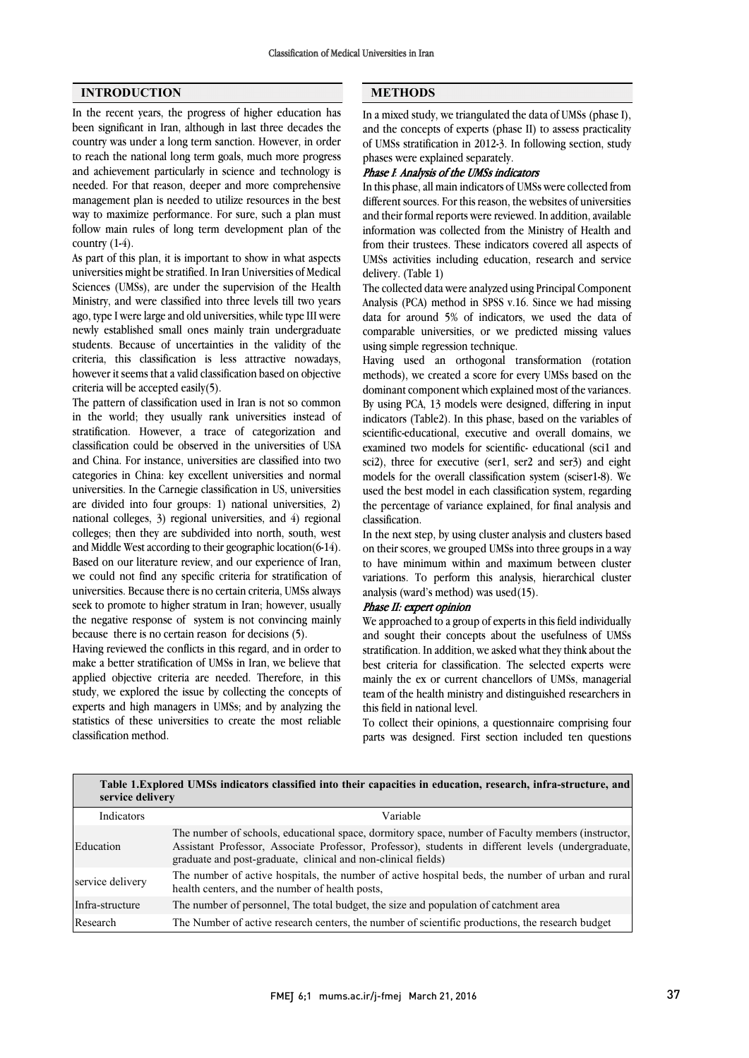## **INTRODUCTION**

In the recent years, the progress of higher education has been significant in Iran, although in last three decades the country was under a long term sanction. However, in order to reach the national long term goals, much more progress and achievement particularly in science and technology is needed. For that reason, deeper and more comprehensive management plan is needed to utilize resources in the best way to maximize performance. For sure, such a plan must follow main rules of long term development plan of the country  $(1-4)$ .

As part of this plan, it is important to show in what aspects universities might be stratified. In Iran Universities of Medical Sciences (UMSs), are under the supervision of the Health Ministry, and were classified into three levels till two years ago, type I were large and old universities, while type III were newly established small ones mainly train undergraduate students. Because of uncertainties in the validity of the criteria, this classification is less attractive nowadays, however it seems that a valid classification based on objective criteria will be accepted easily(5).

The pattern of classification used in Iran is not so common in the world; they usually rank universities instead of stratification. However, a trace of categorization and classification could be observed in the universities of USA and China. For instance, universities are classified into two categories in China: key excellent universities and normal universities. In the Carnegie classification in US, universities are divided into four groups: 1) national universities, 2) national colleges, 3) regional universities, and 4) regional colleges; then they are subdivided into north, south, west and Middle West according to their geographic location(6-14). Based on our literature review, and our experience of Iran, we could not find any specific criteria for stratification of universities. Because there is no certain criteria, UMSs always seek to promote to higher stratum in Iran; however, usually the negative response of system is not convincing mainly because there is no certain reason for decisions (5).

Having reviewed the conflicts in this regard, and in order to make a better stratification of UMSs in Iran, we believe that applied objective criteria are needed. Therefore, in this study, we explored the issue by collecting the concepts of experts and high managers in UMSs; and by analyzing the statistics of these universities to create the most reliable classification method.

# **METHODS**

 $\overline{a}$ 

 In a mixed study, we triangulated the data of UMSs (phase I), and the concepts of experts (phase II) to assess practicality phases were explained separately. of UMSs stratification in 2012-3. In following section, study

# Phase I: Analysis of the UMSs indicators

 In this phase, all main indicators of UMSs were collected from and their formal reports were reviewed. In addition, available information was collected from the Ministry of Health and from their trustees. These indicators covered all aspects of UMSs activities including education, research and service delivery. (Table 1) different sources. For this reason, the websites of universities

 Analysis (PCA) method in SPSS v.16. Since we had missing data for around 5% of indicators, we used the data of comparable universities, or we predicted missing values using simple regression technique. The collected data were analyzed using Principal Component

methods), we created a score for every UMSs based on the dominant component which explained most of the variances. By using PCA, 13 models were designed, differing in input indicators (Table2). In this phase, based on the variables of examined two models for scientific- educational (sci1 and sci2), three for executive (ser1, ser2 and ser3) and eight models for the overall classification system (sciser1-8). We used the best model in each classification system, regarding classification. Having used an orthogonal transformation (rotation scientific-educational, executive and overall domains, we the percentage of variance explained, for final analysis and

 In the next step, by using cluster analysis and clusters based on their scores, we grouped UMSs into three groups in a way to have minimum within and maximum between cluster analysis (ward's method) was used $(15)$ . variations. To perform this analysis, hierarchical cluster

## Phase II: expert opinion

 We approached to a group of experts in this field individually and sought their concepts about the usefulness of UMSs best criteria for classification. The selected experts were mainly the ex or current chancellors of UMSs, managerial team of the health ministry and distinguished researchers in this field in national level. stratification. In addition, we asked what they think about the

 parts was designed. First section included ten questions To collect their opinions, a questionnaire comprising four

| Table 1. Explored UMSs indicators classified into their capacities in education, research, infra-structure, and<br>service delivery |                                                                                                                                                                                                                                                                          |  |  |  |  |  |  |
|-------------------------------------------------------------------------------------------------------------------------------------|--------------------------------------------------------------------------------------------------------------------------------------------------------------------------------------------------------------------------------------------------------------------------|--|--|--|--|--|--|
| Indicators                                                                                                                          | Variable                                                                                                                                                                                                                                                                 |  |  |  |  |  |  |
| Education                                                                                                                           | The number of schools, educational space, dormitory space, number of Faculty members (instructor,<br>Assistant Professor, Associate Professor, Professor), students in different levels (undergraduate,<br>graduate and post-graduate, clinical and non-clinical fields) |  |  |  |  |  |  |
| service delivery                                                                                                                    | The number of active hospitals, the number of active hospital beds, the number of urban and rural<br>health centers, and the number of health posts,                                                                                                                     |  |  |  |  |  |  |
| Infra-structure                                                                                                                     | The number of personnel, The total budget, the size and population of catchment area                                                                                                                                                                                     |  |  |  |  |  |  |
| Research                                                                                                                            | The Number of active research centers, the number of scientific productions, the research budget                                                                                                                                                                         |  |  |  |  |  |  |

l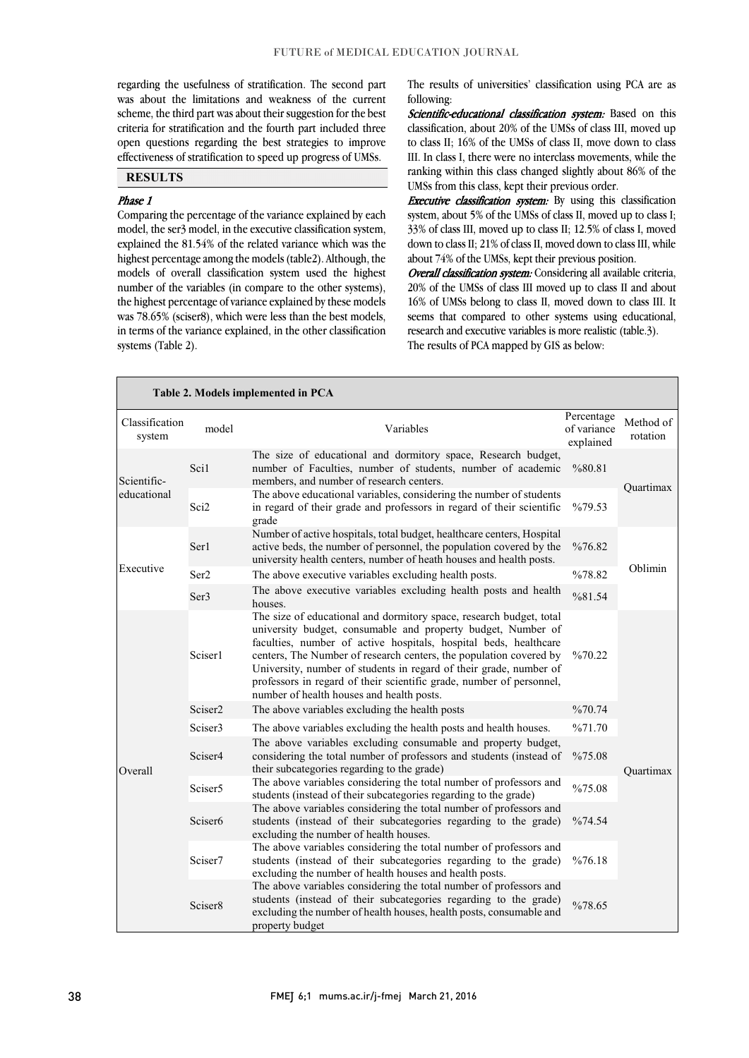j j

 regarding the usefulness of stratification. The second part was about the limitations and weakness of the current scheme, the third part was about their suggestion for the best criteria for stratification and the fourth part included three effectiveness of stratification to speed up progress of UMSs. open questions regarding the best strategies to improve

# **RESULTS**

### Phase 1

 Comparing the percentage of the variance explained by each model, the ser3 model, in the executive classification system, explained the 81.54% of the related variance which was the highest percentage among the models (table2). Although, the models of overall classification system used the highest the highest percentage of variance explained by these models was 78.65% (sciser8), which were less than the best models, in terms of the variance explained, in the other classification number of the variables (in compare to the other systems), systems (Table 2).

 The results of universities' classification using PCA are as following:

Scientific-educational classification system: Based on this classification, about 20% of the UMSs of class III, moved up III. In class I, there were no interclass movements, while the ranking within this class changed slightly about 86% of the to class II; 16% of the UMSs of class II, move down to class UMSs from this class, kept their previous order.

**EXECUTIVE CLASSIFICATION** SYSTEM. By using this CLASSIFICATION system, about 5% of the UMSs of class II, moved up to class I; 33% of class III, moved up to class II; 12.5% of class I, moved down to class II; 21% of class II, moved down to class III, while about 74% of the UMSs, kept their previous position. **Executive classification system:** By using this classification

Overall classification system: Considering all available criteria, 16% of UMSs belong to class II, moved down to class III. It seems that compared to other systems using educational, research and executive variables is more realistic (table.3). 20% of the UMSs of class III moved up to class II and about The results of PCA mapped by GIS as below:

| Table 2. Models implemented in PCA |                     |                                                                                                                                                                                                                                                                                                                                                                                                                                                                          |                                        |                       |  |  |  |
|------------------------------------|---------------------|--------------------------------------------------------------------------------------------------------------------------------------------------------------------------------------------------------------------------------------------------------------------------------------------------------------------------------------------------------------------------------------------------------------------------------------------------------------------------|----------------------------------------|-----------------------|--|--|--|
| Classification<br>system           | model               | Variables                                                                                                                                                                                                                                                                                                                                                                                                                                                                | Percentage<br>of variance<br>explained | Method of<br>rotation |  |  |  |
| Scientific-<br>educational         | Sci1                | The size of educational and dormitory space, Research budget,<br>number of Faculties, number of students, number of academic<br>members, and number of research centers.                                                                                                                                                                                                                                                                                                 | %80.81                                 | Ouartimax             |  |  |  |
|                                    | Sci2                | The above educational variables, considering the number of students<br>in regard of their grade and professors in regard of their scientific<br>grade                                                                                                                                                                                                                                                                                                                    | %79.53                                 |                       |  |  |  |
|                                    | Ser1                | Number of active hospitals, total budget, healthcare centers, Hospital<br>active beds, the number of personnel, the population covered by the<br>university health centers, number of heath houses and health posts.                                                                                                                                                                                                                                                     | %76.82                                 |                       |  |  |  |
| Executive                          | Ser <sub>2</sub>    | The above executive variables excluding health posts.                                                                                                                                                                                                                                                                                                                                                                                                                    | %78.82                                 | Oblimin               |  |  |  |
|                                    | Ser <sub>3</sub>    | The above executive variables excluding health posts and health<br>houses.                                                                                                                                                                                                                                                                                                                                                                                               | %81.54                                 |                       |  |  |  |
|                                    | Sciser1             | The size of educational and dormitory space, research budget, total<br>university budget, consumable and property budget, Number of<br>faculties, number of active hospitals, hospital beds, healthcare<br>centers, The Number of research centers, the population covered by<br>University, number of students in regard of their grade, number of<br>professors in regard of their scientific grade, number of personnel,<br>number of health houses and health posts. | %70.22                                 |                       |  |  |  |
|                                    | Sciser <sub>2</sub> | The above variables excluding the health posts                                                                                                                                                                                                                                                                                                                                                                                                                           | %70.74                                 |                       |  |  |  |
|                                    | Sciser <sub>3</sub> | The above variables excluding the health posts and health houses.                                                                                                                                                                                                                                                                                                                                                                                                        | %71.70                                 |                       |  |  |  |
| Overall                            | Sciser4             | The above variables excluding consumable and property budget,<br>considering the total number of professors and students (instead of<br>their subcategories regarding to the grade)                                                                                                                                                                                                                                                                                      | %75.08                                 | Quartimax             |  |  |  |
|                                    | Sciser <sub>5</sub> | The above variables considering the total number of professors and<br>students (instead of their subcategories regarding to the grade)                                                                                                                                                                                                                                                                                                                                   | %75.08                                 |                       |  |  |  |
|                                    | Sciser <sub>6</sub> | The above variables considering the total number of professors and<br>students (instead of their subcategories regarding to the grade)<br>excluding the number of health houses.                                                                                                                                                                                                                                                                                         | %74.54                                 |                       |  |  |  |
|                                    | Sciser7             | The above variables considering the total number of professors and<br>students (instead of their subcategories regarding to the grade)<br>excluding the number of health houses and health posts.                                                                                                                                                                                                                                                                        | %76.18                                 |                       |  |  |  |
|                                    | Sciser <sub>8</sub> | The above variables considering the total number of professors and<br>students (instead of their subcategories regarding to the grade)<br>excluding the number of health houses, health posts, consumable and<br>property budget                                                                                                                                                                                                                                         | %78.65                                 |                       |  |  |  |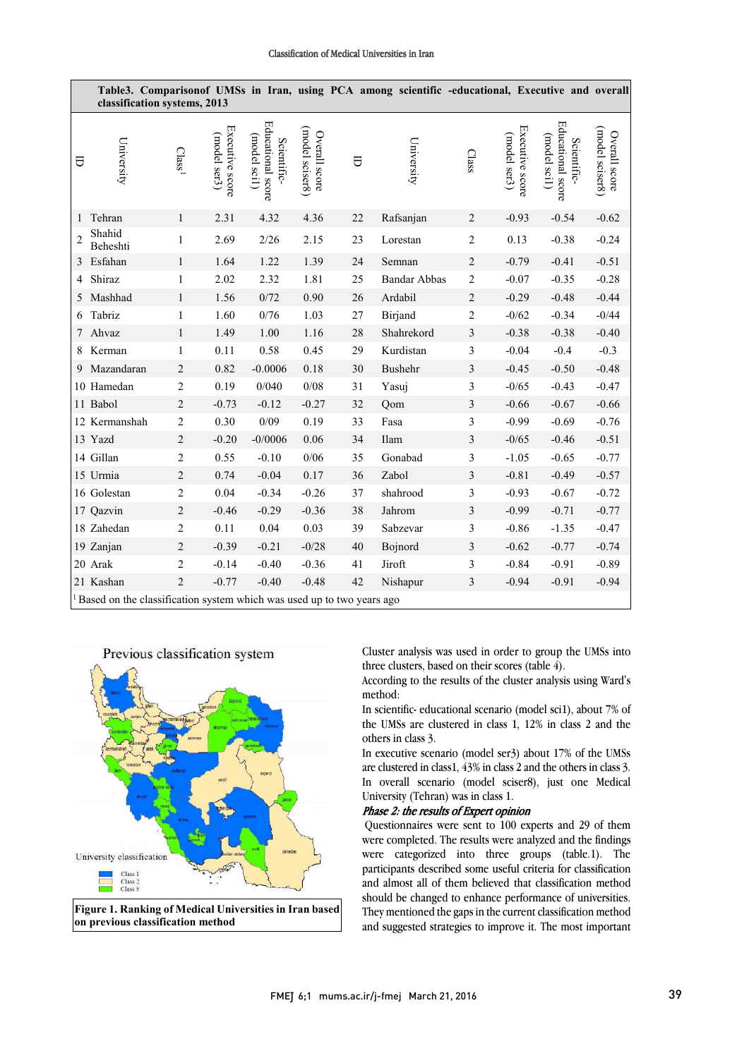#### Classification of Medical Universities in Iran

|                | classification systems, 2013                                                       |                    |                                 |                                                  |                                  |    | Table3. Comparisonof UMSs in Iran, using PCA among scientific -educational, Executive and overall |                |                                 |                                                  |                                  |
|----------------|------------------------------------------------------------------------------------|--------------------|---------------------------------|--------------------------------------------------|----------------------------------|----|---------------------------------------------------------------------------------------------------|----------------|---------------------------------|--------------------------------------------------|----------------------------------|
| Α              | University                                                                         | Class <sup>1</sup> | Executive score<br>(model ser3) | Educational score<br>(model sci1)<br>Scientific- | (model sciser8)<br>Overall score | U  | University                                                                                        | Class          | Executive score<br>(model ser3) | Educational score<br>(model scil)<br>Scientific- | (model sciser8)<br>Overall score |
| 1              | Tehran                                                                             | $\mathbf{1}$       | 2.31                            | 4.32                                             | 4.36                             | 22 | Rafsanjan                                                                                         | $\sqrt{2}$     | $-0.93$                         | $-0.54$                                          | $-0.62$                          |
| $\overline{c}$ | Shahid<br>Beheshti                                                                 | $\mathbf{1}$       | 2.69                            | 2/26                                             | 2.15                             | 23 | Lorestan                                                                                          | $\overline{2}$ | 0.13                            | $-0.38$                                          | $-0.24$                          |
| 3              | Esfahan                                                                            | $\mathbf{1}$       | 1.64                            | 1.22                                             | 1.39                             | 24 | Semnan                                                                                            | $\sqrt{2}$     | $-0.79$                         | $-0.41$                                          | $-0.51$                          |
| 4              | Shiraz                                                                             | 1                  | 2.02                            | 2.32                                             | 1.81                             | 25 | <b>Bandar Abbas</b>                                                                               | $\overline{2}$ | $-0.07$                         | $-0.35$                                          | $-0.28$                          |
| 5              | Mashhad                                                                            | $\mathbf{1}$       | 1.56                            | 0/72                                             | 0.90                             | 26 | Ardabil                                                                                           | $\overline{2}$ | $-0.29$                         | $-0.48$                                          | $-0.44$                          |
| 6              | Tabriz                                                                             | 1                  | 1.60                            | $0/76\,$                                         | 1.03                             | 27 | Birjand                                                                                           | $\overline{2}$ | $-0/62$                         | $-0.34$                                          | $-0/44$                          |
| 7              | Ahvaz                                                                              | $\mathbf{1}$       | 1.49                            | 1.00                                             | 1.16                             | 28 | Shahrekord                                                                                        | $\mathfrak 3$  | $-0.38$                         | $-0.38$                                          | $-0.40$                          |
| 8              | Kerman                                                                             | $\mathbf{1}$       | 0.11                            | 0.58                                             | 0.45                             | 29 | Kurdistan                                                                                         | 3              | $-0.04$                         | $-0.4$                                           | $-0.3$                           |
| 9              | Mazandaran                                                                         | $\overline{2}$     | 0.82                            | $-0.0006$                                        | 0.18                             | 30 | Bushehr                                                                                           | $\mathfrak{Z}$ | $-0.45$                         | $-0.50$                                          | $-0.48$                          |
|                | 10 Hamedan                                                                         | $\overline{c}$     | 0.19                            | 0/040                                            | $0/08$                           | 31 | Yasuj                                                                                             | 3              | $-0/65$                         | $-0.43$                                          | $-0.47$                          |
|                | 11 Babol                                                                           | $\sqrt{2}$         | $-0.73$                         | $-0.12$                                          | $-0.27$                          | 32 | Qom                                                                                               | $\mathfrak{Z}$ | $-0.66$                         | $-0.67$                                          | $-0.66$                          |
|                | 12 Kermanshah                                                                      | $\boldsymbol{2}$   | 0.30                            | 0/09                                             | 0.19                             | 33 | Fasa                                                                                              | 3              | $-0.99$                         | $-0.69$                                          | $-0.76$                          |
|                | 13 Yazd                                                                            | $\overline{c}$     | $-0.20$                         | $-0/0006$                                        | 0.06                             | 34 | Ilam                                                                                              | $\mathfrak{Z}$ | $-0/65$                         | $-0.46$                                          | $-0.51$                          |
|                | 14 Gillan                                                                          | $\overline{c}$     | 0.55                            | $-0.10$                                          | 0/06                             | 35 | Gonabad                                                                                           | 3              | $-1.05$                         | $-0.65$                                          | $-0.77$                          |
|                | 15 Urmia                                                                           | $\sqrt{2}$         | 0.74                            | $-0.04$                                          | 0.17                             | 36 | Zabol                                                                                             | $\mathfrak{Z}$ | $-0.81$                         | $-0.49$                                          | $-0.57$                          |
|                | 16 Golestan                                                                        | $\overline{c}$     | 0.04                            | $-0.34$                                          | $-0.26$                          | 37 | shahrood                                                                                          | 3              | $-0.93$                         | $-0.67$                                          | $-0.72$                          |
|                | 17 Qazvin                                                                          | $\overline{c}$     | $-0.46$                         | $-0.29$                                          | $-0.36$                          | 38 | Jahrom                                                                                            | $\mathfrak{Z}$ | $-0.99$                         | $-0.71$                                          | $-0.77$                          |
|                | 18 Zahedan                                                                         | $\overline{2}$     | 0.11                            | 0.04                                             | 0.03                             | 39 | Sabzevar                                                                                          | 3              | $-0.86$                         | $-1.35$                                          | $-0.47$                          |
|                | 19 Zanjan                                                                          | $\overline{c}$     | $-0.39$                         | $-0.21$                                          | $-0/28$                          | 40 | Bojnord                                                                                           | $\mathfrak{Z}$ | $-0.62$                         | $-0.77$                                          | $-0.74$                          |
|                | 20 Arak                                                                            | $\overline{2}$     | $-0.14$                         | $-0.40$                                          | $-0.36$                          | 41 | Jiroft                                                                                            | 3              | $-0.84$                         | $-0.91$                                          | $-0.89$                          |
|                | 21 Kashan                                                                          | $\overline{c}$     | $-0.77$                         | $-0.40$                                          | $-0.48$                          | 42 | Nishapur                                                                                          | $\mathfrak{Z}$ | $-0.94$                         | $-0.91$                                          | $-0.94$                          |
|                | <sup>1</sup> Based on the classification system which was used up to two years ago |                    |                                 |                                                  |                                  |    |                                                                                                   |                |                                 |                                                  |                                  |



 Cluster analysis was used in order to group the UMSs into three clusters, based on their scores (table 4).

 According to the results of the cluster analysis using Ward's method:

 In scientific- educational scenario (model sci1), about 7% of others in class 3. the UMSs are clustered in class 1, 12% in class 2 and the

 In executive scenario (model ser3) about 17% of the UMSs are clustered in class1, 43% in class 2 and the others in class 3. In overall scenario (model sciser8), just one Medical University (Tehran) was in class 1.

# Phase 2: the results of Expert opinion

 Questionnaires were sent to 100 experts and 29 of them were completed. The results were analyzed and the findings were categorized into three groups (table.1). The and almost all of them believed that classification method should be changed to enhance performance of universities. They mentioned the gaps in the current classification method and suggested strategies to improve it. The most important participants described some useful criteria for classification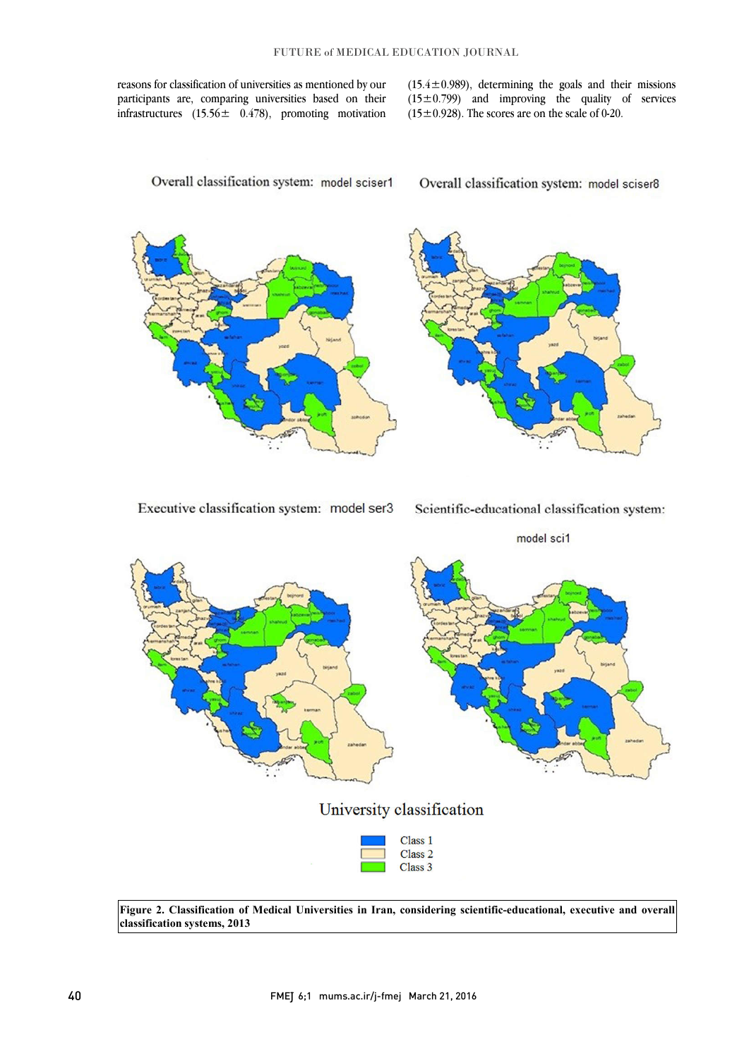reasons for classification of universities as mentioned by our participants are, comparing universities based on their infrastructures  $(15.56 \pm 0.478)$ , promoting motivation  $(15.4 \pm 0.989)$ , determining the goals and their missions  $(15\pm0.799)$  and improving the quality of services  $(15\pm0.928)$ . The scores are on the scale of 0-20.



l

Overall classification system: model sciser8

l

ì



 **Figure 2. Classification of Medical Universities in Iran, considering scientific-educational, executive and overall**   $\overline{a}$ j **classification systems, 2013**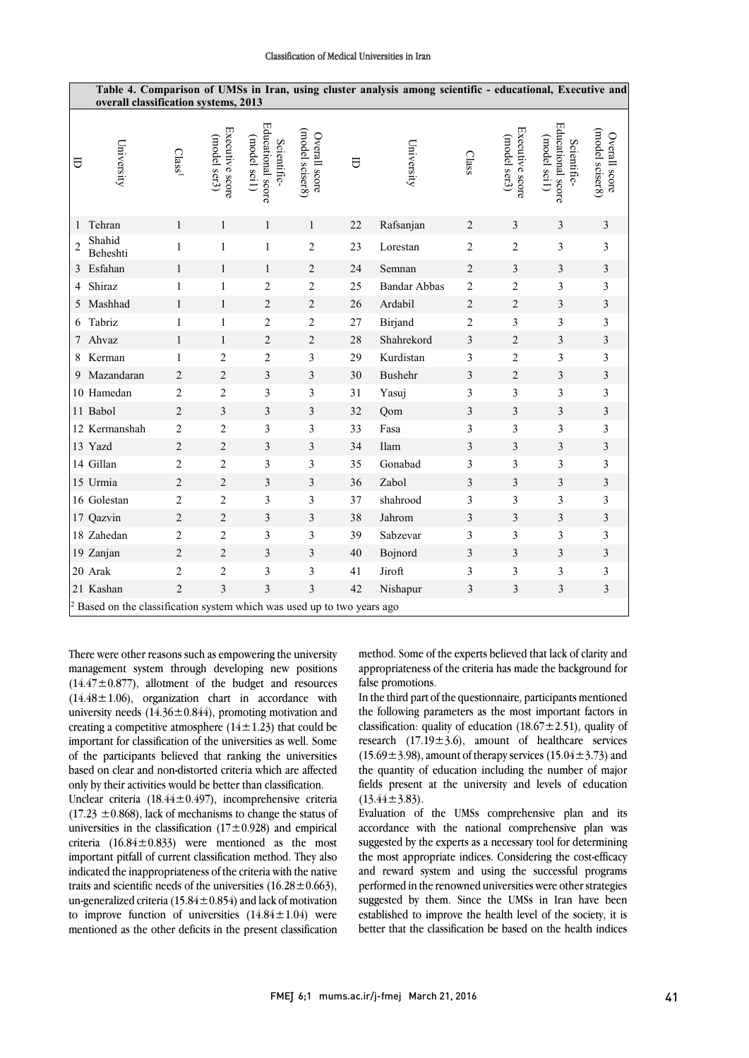#### Classification of Medical Universities in Iran

|                |                                                                                    |                    |                                 |                                                  |                                  |    | Table 4. Comparison of UMSs in Iran, using cluster analysis among scientific - educational, Executive and |                |                                 |                                                  |                                  |
|----------------|------------------------------------------------------------------------------------|--------------------|---------------------------------|--------------------------------------------------|----------------------------------|----|-----------------------------------------------------------------------------------------------------------|----------------|---------------------------------|--------------------------------------------------|----------------------------------|
|                | overall classification systems, 2013                                               |                    |                                 |                                                  |                                  |    |                                                                                                           |                |                                 |                                                  |                                  |
| ᇦ              | University                                                                         | Class <sup>1</sup> | Executive score<br>(model ser3) | Educational score<br>(model scil)<br>Scientific- | (model sciser8)<br>Overall score | U  | University                                                                                                | Class          | Executive score<br>(model ser3) | Educational score<br>(model scil)<br>Scientific- | (model sciser8)<br>Overall score |
| -1             | Tehran                                                                             | $\mathbf{1}$       | 1                               | $\mathbf{1}$                                     | $\mathbf{1}$                     | 22 | Rafsanjan                                                                                                 | 2              | 3                               | 3                                                | 3                                |
| $\overline{2}$ | Shahid<br>Beheshti                                                                 | $\mathbf{1}$       | $\mathbf{1}$                    | $\mathbf{1}$                                     | $\overline{2}$                   | 23 | Lorestan                                                                                                  | $\overline{c}$ | $\overline{c}$                  | 3                                                | 3                                |
| 3              | Esfahan                                                                            | $\mathbf{1}$       | 1                               | $\mathbf{1}$                                     | $\overline{c}$                   | 24 | Semnan                                                                                                    | $\overline{c}$ | 3                               | 3                                                | 3                                |
| 4              | Shiraz                                                                             | 1                  | $\mathbf{1}$                    | $\overline{2}$                                   | $\overline{c}$                   | 25 | <b>Bandar Abbas</b>                                                                                       | $\overline{c}$ | $\overline{c}$                  | 3                                                | 3                                |
| 5              | Mashhad                                                                            | 1                  | 1                               | $\overline{c}$                                   | 2                                | 26 | Ardabil                                                                                                   | $\overline{c}$ | $\overline{c}$                  | 3                                                | $\overline{\mathbf{3}}$          |
| 6              | Tabriz                                                                             | 1                  | $\mathbf{1}$                    | $\sqrt{2}$                                       | 2                                | 27 | Birjand                                                                                                   | $\overline{c}$ | 3                               | 3                                                | 3                                |
| 7              | Ahvaz                                                                              | $\mathbf{1}$       | $\mathbf{1}$                    | $\sqrt{2}$                                       | $\overline{c}$                   | 28 | Shahrekord                                                                                                | 3              | $\overline{c}$                  | 3                                                | $\overline{\mathbf{3}}$          |
| 8              | Kerman                                                                             | 1                  | $\overline{2}$                  | $\overline{2}$                                   | 3                                | 29 | Kurdistan                                                                                                 | 3              | $\overline{c}$                  | 3                                                | 3                                |
| 9              | Mazandaran                                                                         | $\overline{2}$     | $\overline{2}$                  | $\mathfrak{Z}$                                   | 3                                | 30 | Bushehr                                                                                                   | 3              | 2                               | 3                                                | $\overline{\mathbf{3}}$          |
|                | 10 Hamedan                                                                         | $\overline{2}$     | $\overline{c}$                  | $\mathfrak{Z}$                                   | 3                                | 31 | Yasuj                                                                                                     | 3              | 3                               | 3                                                | 3                                |
|                | 11 Babol                                                                           | $\overline{2}$     | 3                               | 3                                                | 3                                | 32 | Qom                                                                                                       | 3              | 3                               | 3                                                | $\overline{\mathbf{3}}$          |
|                | 12 Kermanshah                                                                      | $\overline{2}$     | $\overline{2}$                  | 3                                                | 3                                | 33 | Fasa                                                                                                      | 3              | 3                               | 3                                                | 3                                |
|                | 13 Yazd                                                                            | $\overline{2}$     | $\overline{2}$                  | 3                                                | 3                                | 34 | Ilam                                                                                                      | 3              | 3                               | 3                                                | 3                                |
|                | 14 Gillan                                                                          | $\overline{c}$     | $\overline{c}$                  | 3                                                | 3                                | 35 | Gonabad                                                                                                   | 3              | 3                               | 3                                                | 3                                |
|                | 15 Urmia                                                                           | $\overline{2}$     | $\overline{2}$                  | 3                                                | 3                                | 36 | Zabol                                                                                                     | 3              | 3                               | 3                                                | $\overline{\mathbf{3}}$          |
|                | 16 Golestan                                                                        | $\overline{2}$     | $\overline{2}$                  | 3                                                | 3                                | 37 | shahrood                                                                                                  | 3              | 3                               | 3                                                | 3                                |
|                | 17 Qazvin                                                                          | $\overline{2}$     | $\overline{2}$                  | $\mathfrak{Z}$                                   | 3                                | 38 | Jahrom                                                                                                    | 3              | 3                               | 3                                                | 3                                |
|                | 18 Zahedan                                                                         | $\overline{2}$     | $\overline{2}$                  | 3                                                | 3                                | 39 | Sabzevar                                                                                                  | 3              | 3                               | 3                                                | 3                                |
|                | 19 Zanjan                                                                          | $\overline{2}$     | $\overline{2}$                  | $\mathfrak{Z}$                                   | 3                                | 40 | Bojnord                                                                                                   | 3              | 3                               | $\mathfrak{Z}$                                   | 3                                |
|                | 20 Arak                                                                            | $\overline{2}$     | $\overline{2}$                  | 3                                                | 3                                | 41 | Jiroft                                                                                                    | 3              | 3                               | 3                                                | 3                                |
|                | 21 Kashan                                                                          | $\overline{2}$     | 3                               | 3                                                | 3                                | 42 | Nishapur                                                                                                  | 3              | 3                               | 3                                                | 3                                |
|                | <sup>2</sup> Based on the classification system which was used up to two years ago |                    |                                 |                                                  |                                  |    |                                                                                                           |                |                                 |                                                  |                                  |

There were other reasons such as empowering the university management system through developing new positions  $(14.47 \pm 0.877)$ , allotment of the budget and resources  $(14.48 \pm 1.06)$ , organization chart in accordance with university needs  $(14.36 \pm 0.844)$ , promoting motivation and creating a competitive atmosphere  $(14 \pm 1.23)$  that could be important for classification of the universities as well. Some of the participants believed that ranking the universities based on clear and non-distorted criteria which are affected only by their activities would be better than classification.

Unclear criteria (18.44±0.497), incomprehensive criteria  $(17.23 \pm 0.868)$ , lack of mechanisms to change the status of universities in the classification  $(17 \pm 0.928)$  and empirical criteria  $(16.84 \pm 0.833)$  were mentioned as the most important pitfall of current classification method. They also indicated the inappropriateness of the criteria with the native traits and scientific needs of the universities  $(16.28 \pm 0.663)$ , un-generalized criteria (15.84 $\pm$ 0.854) and lack of motivation to improve function of universities  $(14.84 \pm 1.04)$  were mentioned as the other deficits in the present classification

method. Some of the experts believed that lack of clarity and appropriateness of the criteria has made the background for false promotions.

In the third part of the questionnaire, participants mentioned the following parameters as the most important factors in classification: quality of education (18.67 $\pm$ 2.51), quality of research  $(17.19 \pm 3.6)$ , amount of healthcare services  $(15.69 \pm 3.98)$ , amount of therapy services  $(15.04 \pm 3.73)$  and the quantity of education including the number of major fields present at the university and levels of education  $(13.44 \pm 3.83)$ .

Evaluation of the UMSs comprehensive plan and its accordance with the national comprehensive plan was suggested by the experts as a necessary tool for determining the most appropriate indices. Considering the cost-efficacy and reward system and using the successful programs performed in the renowned universities were other strategies suggested by them. Since the UMSs in Iran have been established to improve the health level of the society, it is better that the classification be based on the health indices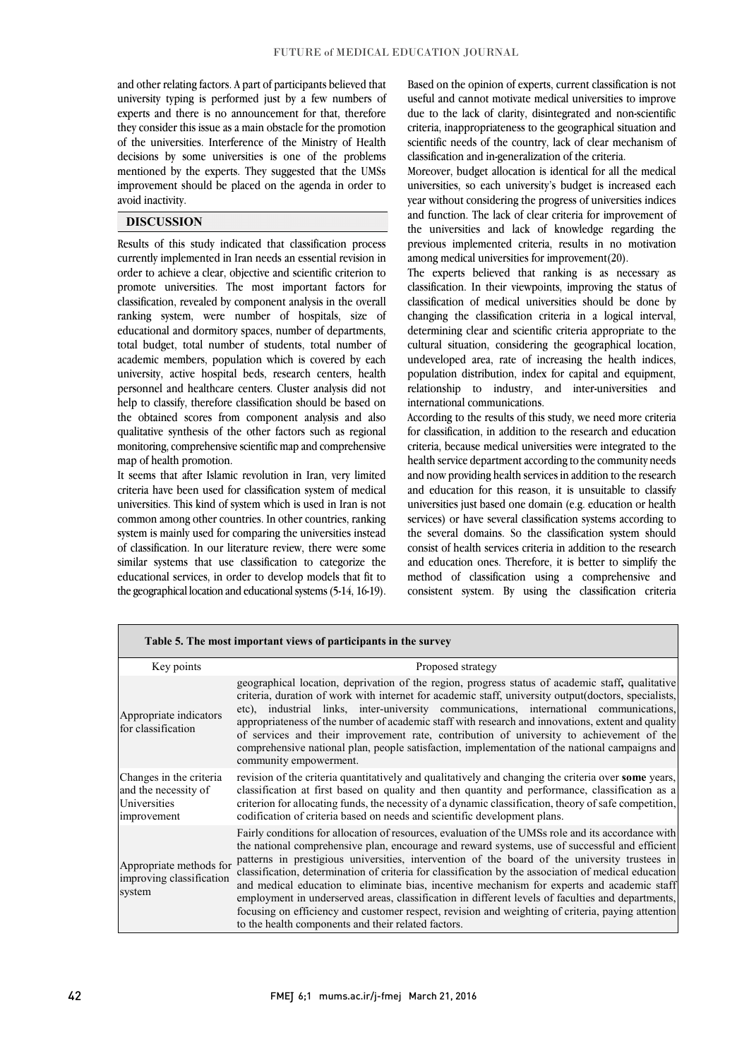and other relating factors. A part of participants believed that university typing is performed just by a few numbers of experts and there is no announcement for that, therefore they consider this issue as a main obstacle for the promotion decisions by some universities is one of the problems mentioned by the experts. They suggested that the UMSs improvement should be placed on the agenda in order to l of the universities. Interference of the Ministry of Health avoid inactivity.

### **DISCUSSION**

 Results of this study indicated that classification process currently implemented in Iran needs an essential revision in order to achieve a clear, objective and scientific criterion to classification, revealed by component analysis in the overall ranking system, were number of hospitals, size of educational and dormitory spaces, number of departments, total budget, total number of students, total number of university, active hospital beds, research centers, health personnel and healthcare centers. Cluster analysis did not help to classify, therefore classification should be based on the obtained scores from component analysis and also monitoring, comprehensive scientific map and comprehensive promote universities. The most important factors for academic members, population which is covered by each qualitative synthesis of the other factors such as regional map of health promotion.

 It seems that after Islamic revolution in Iran, very limited universities. This kind of system which is used in Iran is not common among other countries. In other countries, ranking system is mainly used for comparing the universities instead of classification. In our literature review, there were some similar systems that use classification to categorize the the geographical location and educational systems (5-14, 16-19). criteria have been used for classification system of medical educational services, in order to develop models that fit to

 Based on the opinion of experts, current classification is not useful and cannot motivate medical universities to improve due to the lack of clarity, disintegrated and non-scientific criteria, inappropriateness to the geographical situation and classification and in-generalization of the criteria. scientific needs of the country, lack of clear mechanism of

 Moreover, budget allocation is identical for all the medical universities, so each university's budget is increased each and function. The lack of clear criteria for improvement of the universities and lack of knowledge regarding the previous implemented criteria, results in no motivation among medical universities for improvement(20). year without considering the progress of universities indices

 The experts believed that ranking is as necessary as classification of medical universities should be done by changing the classification criteria in a logical interval, determining clear and scientific criteria appropriate to the cultural situation, considering the geographical location, population distribution, index for capital and equipment, relationship to industry, and inter-universities and classification. In their viewpoints, improving the status of undeveloped area, rate of increasing the health indices, international communications.

 According to the results of this study, we need more criteria criteria, because medical universities were integrated to the health service department according to the community needs and now providing health services in addition to the research universities just based one domain (e.g. education or health services) or have several classification systems according to the several domains. So the classification system should consist of health services criteria in addition to the research and education ones. Therefore, it is better to simplify the consistent system. By using the classification criteria for classification, in addition to the research and education and education for this reason, it is unsuitable to classify method of classification using a comprehensive and

| Table 5. The most important views of participants in the survey                 |                                                                                                                                                                                                                                                                                                                                                                                                                                                                                                                                                                                                                                                                                                                                                                               |  |  |  |  |  |
|---------------------------------------------------------------------------------|-------------------------------------------------------------------------------------------------------------------------------------------------------------------------------------------------------------------------------------------------------------------------------------------------------------------------------------------------------------------------------------------------------------------------------------------------------------------------------------------------------------------------------------------------------------------------------------------------------------------------------------------------------------------------------------------------------------------------------------------------------------------------------|--|--|--|--|--|
| Key points                                                                      | Proposed strategy                                                                                                                                                                                                                                                                                                                                                                                                                                                                                                                                                                                                                                                                                                                                                             |  |  |  |  |  |
| Appropriate indicators<br>for classification                                    | geographical location, deprivation of the region, progress status of academic staff, qualitative<br>criteria, duration of work with internet for academic staff, university output(doctors, specialists,<br>etc), industrial links, inter-university communications, international communications,<br>appropriateness of the number of academic staff with research and innovations, extent and quality<br>of services and their improvement rate, contribution of university to achievement of the<br>comprehensive national plan, people satisfaction, implementation of the national campaigns and<br>community empowerment.                                                                                                                                               |  |  |  |  |  |
| Changes in the criteria.<br>and the necessity of<br>Universities<br>improvement | revision of the criteria quantitatively and qualitatively and changing the criteria over some years,<br>classification at first based on quality and then quantity and performance, classification as a<br>criterion for allocating funds, the necessity of a dynamic classification, theory of safe competition,<br>codification of criteria based on needs and scientific development plans.                                                                                                                                                                                                                                                                                                                                                                                |  |  |  |  |  |
| Appropriate methods for<br>improving classification<br>system                   | Fairly conditions for allocation of resources, evaluation of the UMSs role and its accordance with<br>the national comprehensive plan, encourage and reward systems, use of successful and efficient<br>patterns in prestigious universities, intervention of the board of the university trustees in<br>classification, determination of criteria for classification by the association of medical education<br>and medical education to eliminate bias, incentive mechanism for experts and academic staff<br>employment in underserved areas, classification in different levels of faculties and departments,<br>focusing on efficiency and customer respect, revision and weighting of criteria, paying attention<br>to the health components and their related factors. |  |  |  |  |  |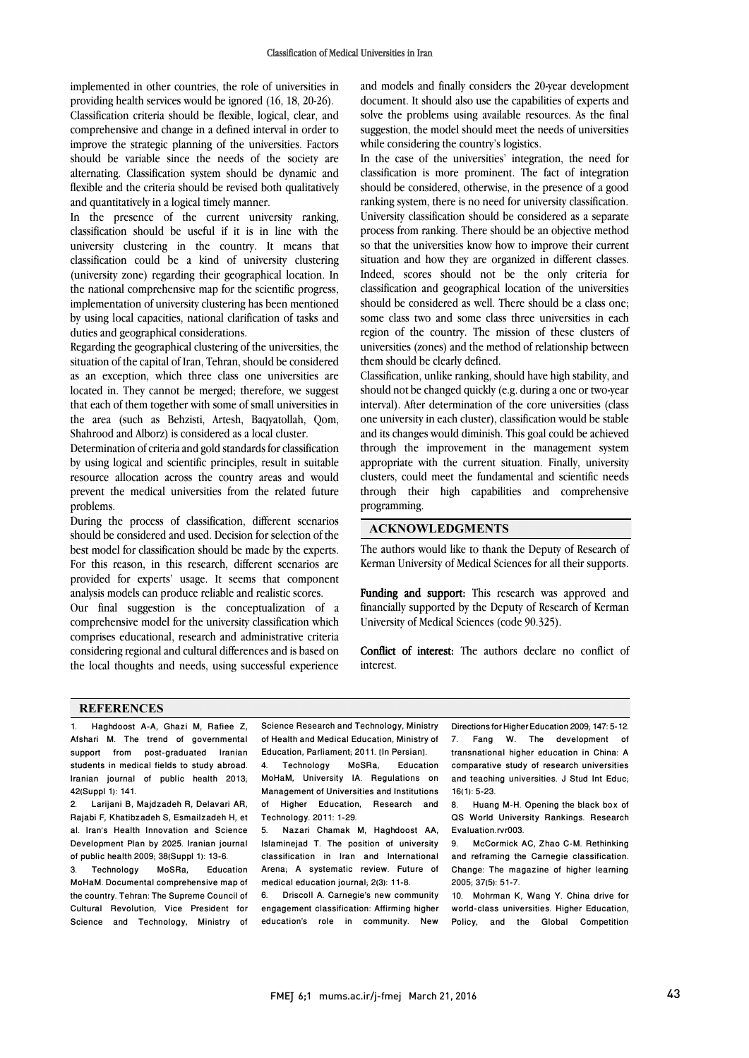implemented in other countries, the role of universities in providing health services would be ignored (16, 18, 20-26). Classification criteria should be flexible, logical, clear, and comprehensive and change in a defined interval in order to improve the strategic planning of the universities. Factors should be variable since the needs of the society are alternating. Classification system should be dynamic and flexible and the criteria should be revised both qualitatively and quantitatively in a logical timely manner.

In the presence of the current university ranking, classification should be useful if it is in line with the university clustering in the country. It means that classification could be a kind of university clustering (university zone) regarding their geographical location. In the national comprehensive map for the scientific progress, implementation of university clustering has been mentioned by using local capacities, national clarification of tasks and duties and geographical considerations.

Regarding the geographical clustering of the universities, the situation of the capital of Iran, Tehran, should be considered as an exception, which three class one universities are located in. They cannot be merged; therefore, we suggest that each of them together with some of small universities in the area (such as Behzisti, Artesh, Baqyatollah, Qom, Shahrood and Alborz) is considered as a local cluster.

Determination of criteria and gold standards for classification by using logical and scientific principles, result in suitable resource allocation across the country areas and would prevent the medical universities from the related future problems.

During the process of classification, different scenarios should be considered and used. Decision for selection of the best model for classification should be made by the experts. For this reason, in this research, different scenarios are provided for experts' usage. It seems that component analysis models can produce reliable and realistic scores.

Our final suggestion is the conceptualization of a comprehensive model for the university classification which comprises educational, research and administrative criteria considering regional and cultural differences and is based on the local thoughts and needs, using successful experience

 and models and finally considers the 20-year development document. It should also use the capabilities of experts and solve the problems using available resources. As the final suggestion, the model should meet the needs of universities while considering the country's logistics.

In the case of the universities' integration, the need for classification is more prominent. The fact of integration should be considered, otherwise, in the presence of a good ranking system, there is no need for university classification. process from ranking. There should be an objective method so that the universities know how to improve their current situation and how they are organized in different classes. Indeed, scores should not be the only criteria for should be considered as well. There should be a class one; some class two and some class three universities in each region of the country. The mission of these clusters of universities (zones) and the method of relationship between University classification should be considered as a separate classification and geographical location of the universities them should be clearly defined.

 Classification, unlike ranking, should have high stability, and should not be changed quickly (e.g. during a one or two-year interval). After determination of the core universities (class one university in each cluster), classification would be stable through the improvement in the management system appropriate with the current situation. Finally, university clusters, could meet the fundamental and scientific needs through their high capabilities and comprehensive programming. and its changes would diminish. This goal could be achieved

# **ACKNOWLEDGMENTS**

 The authors would like to thank the Deputy of Research of Kerman University of Medical Sciences for all their supports.

Funding and support: This research was approved and financially supported by the Deputy of Research of Kerman University of Medical Sciences (code 90.325).

 Conflict of interest: The authors declare no conflict of interest.

#### **REFERENCES**

1. Haghdoost A-A, Ghazi M, Rafiee Z, Afshari M. The trend of governmental support from post-graduated Iranian students in medical fields to study abroad. Iranian journal of public health 2013; 42(Suppl 1): 141.

2. Larijani B, Majdzadeh R, Delavari AR, Rajabi F, Khatibzadeh S, Esmailzadeh H, et al. Iran's Health Innovation and Science Development Plan by 2025. Iranian journal

of public health 2009; 38(Suppl 1): 13-6.<br>3. Technology MoSRa, Education Technology MoHaM. Documental comprehensive map of the country. Tehran: The Supreme Council of Cultural Revolution, Vice President for Science and Technology, Ministry of

 $\overline{a}$  of Health and Medical Education, Ministry of Science Research and Technology, Ministry

í  $\overline{\phantom{a}}$ 

 $\overline{a}$ 

 Education, Parliament; 2011. [In Persian]. MoSRa. Management of Universities and Institutions of Higher Education, Research and 4. Technology MoSRa, Education MoHaM, University IA. Regulations on Technology. 2011: 1-29.

 5. Nazari Chamak M, Haghdoost AA, Islaminejad T. The position of university classification in Iran and International medical education journal; 2(3): 11-8. Arena; A systematic review. Future of

 6. Driscoll A. Carnegie's new community engagement classification: Affirming higher<br>education's role in community. New engagement classification: Affirming higher

Directions for Higher Education 2009; 147: 5-12. 7. Fang W. The development of transnational higher education in China: A comparative study of research universities and teaching universities. J Stud Int Educ; 16(1): 5-23.

Huang M-H. Opening the black box of QS World University Rankings. Research Evaluation.rvr003.

9. McCormick AC, Zhao C-M. Rethinking and reframing the Carnegie classification. Change: The magazine of higher learning 2005; 37(5): 51-7.

10. Mohrman K, Wang Y. China drive for world-class universities. Higher Education, Policy, and the Global Competition